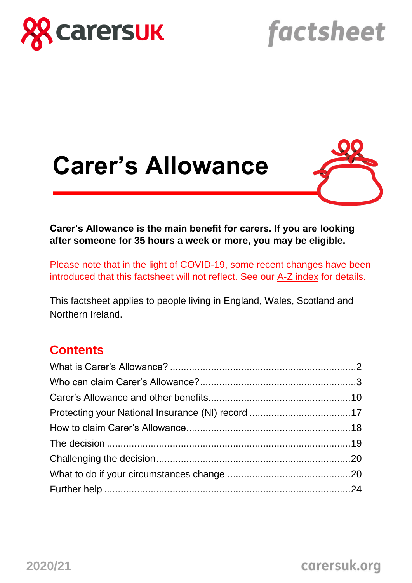

# factsheet





**Carer's Allowance is the main benefit for carers. If you are looking after someone for 35 hours a week or more, you may be eligible.**

Please note that in the light of COVID-19, some recent changes have been introduced that this factsheet will not reflect. See our [A-Z index](https://www.carersuk.org/help-and-advice/coronavirus-covid-19/a-z-of-changes-to-benefits-assessments-and-support-covid-19#sec2) for details.

This factsheet applies to people living in England, Wales, Scotland and Northern Ireland.

# **Contents**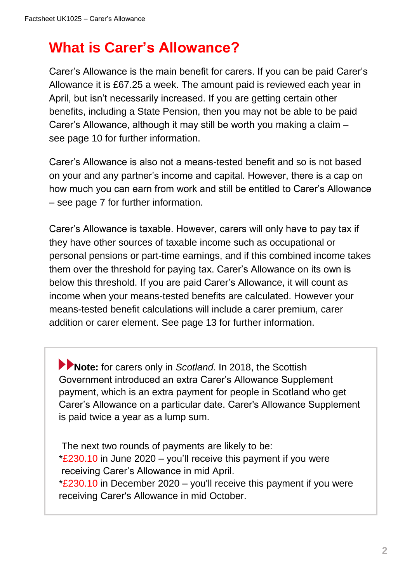# **What is Carer's Allowance?**

Carer's Allowance is the main benefit for carers. If you can be paid Carer's Allowance it is £67.25 a week. The amount paid is reviewed each year in April, but isn't necessarily increased. If you are getting certain other benefits, including a State Pension, then you may not be able to be paid Carer's Allowance, although it may still be worth you making a claim – see page 10 for further information.

Carer's Allowance is also not a means-tested benefit and so is not based on your and any partner's income and capital. However, there is a cap on how much you can earn from work and still be entitled to Carer's Allowance – see page 7 for further information.

Carer's Allowance is taxable. However, carers will only have to pay tax if they have other sources of taxable income such as occupational or personal pensions or part-time earnings, and if this combined income takes them over the threshold for paying tax. Carer's Allowance on its own is below this threshold. If you are paid Carer's Allowance, it will count as income when your means-tested benefits are calculated. However your means-tested benefit calculations will include a carer premium, carer addition or carer element. See page 13 for further information.

**Note:** for carers only in *Scotland*. In 2018, the Scottish Government introduced an extra Carer's Allowance Supplement payment, which is an extra payment for people in Scotland who get Carer's Allowance on a particular date. Carer's Allowance Supplement is paid twice a year as a lump sum.

The next two rounds of payments are likely to be:  $*$ £230.10 in June 2020 – you'll receive this payment if you were receiving Carer's Allowance in mid April.  $*$ £230.10 in December 2020 – you'll receive this payment if you were receiving Carer's Allowance in mid October.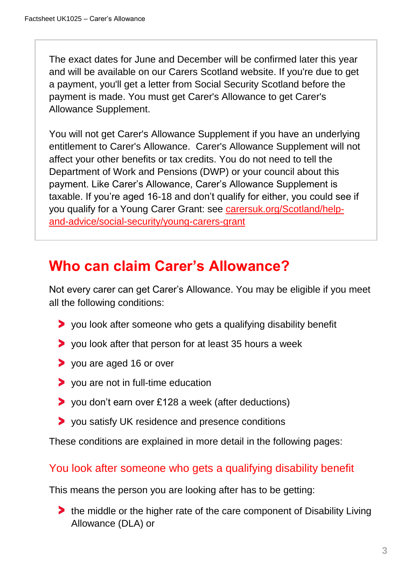The exact dates for June and December will be confirmed later this year and will be available on our Carers Scotland website. If you're due to get a payment, you'll get a letter from Social Security Scotland before the payment is made. You must get Carer's Allowance to get Carer's Allowance Supplement.

You will not get Carer's Allowance Supplement if you have an underlying entitlement to Carer's Allowance. Carer's Allowance Supplement will not affect your other benefits or tax credits. You do not need to tell the Department of Work and Pensions (DWP) or your council about this payment. Like Carer's Allowance, Carer's Allowance Supplement is taxable. If you're aged 16-18 and don't qualify for either, you could see if you qualify for a Young Carer Grant: see [carersuk.org/Scotland/help](https://www.carersuk.org/Scotland/help-and-advice/social-security/young-carers-grant)[and-advice/social-security/young-carers-grant](https://www.carersuk.org/Scotland/help-and-advice/social-security/young-carers-grant)

# **Who can claim Carer's Allowance?**

Not every carer can get Carer's Allowance. You may be eligible if you meet all the following conditions:

- you look after someone who gets a qualifying disability benefit
- you look after that person for at least 35 hours a week
- you are aged 16 or over
- **>** you are not in full-time education
- you don't earn over £128 a week (after deductions)
- you satisfy UK residence and presence conditions

These conditions are explained in more detail in the following pages:

### You look after someone who gets a qualifying disability benefit

This means the person you are looking after has to be getting:

**The middle or the higher rate of the care component of Disability Living** Allowance (DLA) or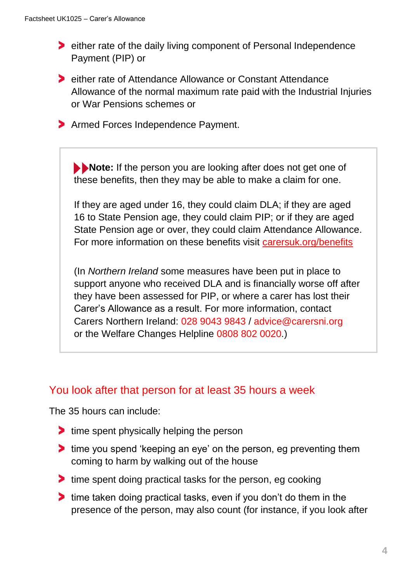- either rate of the daily living component of Personal Independence Payment (PIP) or
- **EXAM** either rate of Attendance Allowance or Constant Attendance Allowance of the normal maximum rate paid with the Industrial Injuries or War Pensions schemes or
- **Armed Forces Independence Payment.**

**Note:** If the person you are looking after does not get one of these benefits, then they may be able to make a claim for one.

If they are aged under 16, they could claim DLA; if they are aged 16 to State Pension age, they could claim PIP; or if they are aged State Pension age or over, they could claim Attendance Allowance. For more information on these benefits visit [carersuk.org/benefits](https://www.carersuk.org/help-and-advice/financial-support/help-with-benefits)

(In *Northern Ireland* some measures have been put in place to support anyone who received DLA and is financially worse off after they have been assessed for PIP, or where a carer has lost their Carer's Allowance as a result. For more information, contact Carers Northern Ireland: 028 9043 9843 / advice@carersni.org or the Welfare Changes Helpline 0808 802 0020.)

#### You look after that person for at least 35 hours a week

The 35 hours can include:

- If time spent physically helping the person
- If time you spend 'keeping an eye' on the person, eg preventing them coming to harm by walking out of the house
- If time spent doing practical tasks for the person, eg cooking
- If time taken doing practical tasks, even if you don't do them in the presence of the person, may also count (for instance, if you look after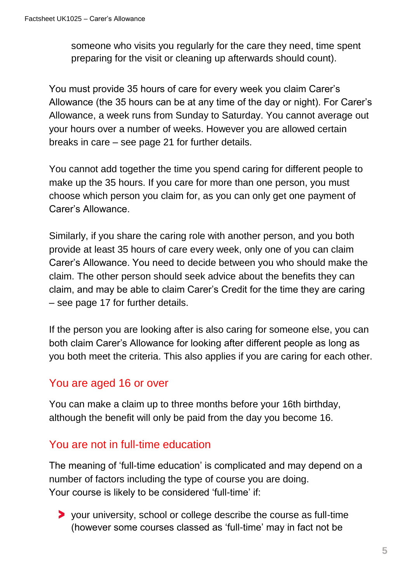someone who visits you regularly for the care they need, time spent preparing for the visit or cleaning up afterwards should count).

You must provide 35 hours of care for every week you claim Carer's Allowance (the 35 hours can be at any time of the day or night). For Carer's Allowance, a week runs from Sunday to Saturday. You cannot average out your hours over a number of weeks. However you are allowed certain breaks in care – see page 21 for further details.

You cannot add together the time you spend caring for different people to make up the 35 hours. If you care for more than one person, you must choose which person you claim for, as you can only get one payment of Carer's Allowance.

Similarly, if you share the caring role with another person, and you both provide at least 35 hours of care every week, only one of you can claim Carer's Allowance. You need to decide between you who should make the claim. The other person should seek advice about the benefits they can claim, and may be able to claim Carer's Credit for the time they are caring – see page 17 for further details.

If the person you are looking after is also caring for someone else, you can both claim Carer's Allowance for looking after different people as long as you both meet the criteria. This also applies if you are caring for each other.

### You are aged 16 or over

You can make a claim up to three months before your 16th birthday, although the benefit will only be paid from the day you become 16.

### You are not in full-time education

The meaning of 'full-time education' is complicated and may depend on a number of factors including the type of course you are doing. Your course is likely to be considered 'full-time' if:

your university, school or college describe the course as full-time (however some courses classed as 'full-time' may in fact not be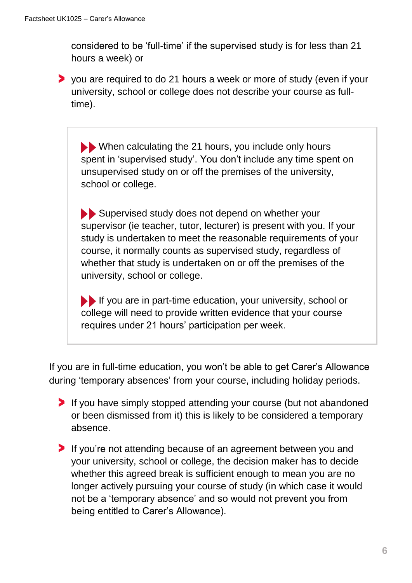considered to be 'full-time' if the supervised study is for less than 21 hours a week) or

you are required to do 21 hours a week or more of study (even if your university, school or college does not describe your course as fulltime).

When calculating the 21 hours, you include only hours spent in 'supervised study'. You don't include any time spent on unsupervised study on or off the premises of the university, school or college.

Supervised study does not depend on whether your supervisor (ie teacher, tutor, lecturer) is present with you. If your study is undertaken to meet the reasonable requirements of your course, it normally counts as supervised study, regardless of whether that study is undertaken on or off the premises of the university, school or college.

If you are in part-time education, your university, school or college will need to provide written evidence that your course requires under 21 hours' participation per week.

If you are in full-time education, you won't be able to get Carer's Allowance during 'temporary absences' from your course, including holiday periods.

- If you have simply stopped attending your course (but not abandoned or been dismissed from it) this is likely to be considered a temporary absence.
- If you're not attending because of an agreement between you and your university, school or college, the decision maker has to decide whether this agreed break is sufficient enough to mean you are no longer actively pursuing your course of study (in which case it would not be a 'temporary absence' and so would not prevent you from being entitled to Carer's Allowance).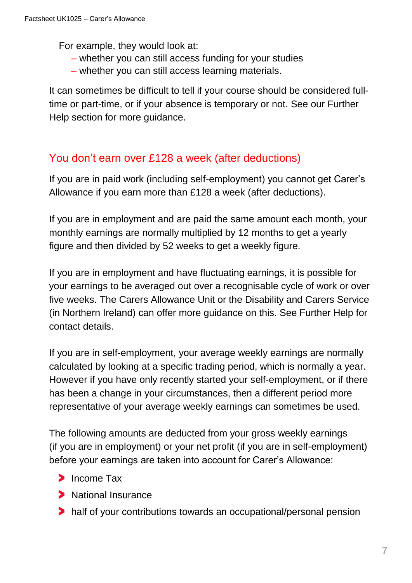For example, they would look at:

- whether you can still access funding for your studies
- whether you can still access learning materials.

It can sometimes be difficult to tell if your course should be considered fulltime or part-time, or if your absence is temporary or not. See our Further Help section for more guidance.

# You don't earn over £128 a week (after deductions)

If you are in paid work (including self-employment) you cannot get Carer's Allowance if you earn more than £128 a week (after deductions).

If you are in employment and are paid the same amount each month, your monthly earnings are normally multiplied by 12 months to get a yearly figure and then divided by 52 weeks to get a weekly figure.

If you are in employment and have fluctuating earnings, it is possible for your earnings to be averaged out over a recognisable cycle of work or over five weeks. The Carers Allowance Unit or the Disability and Carers Service (in Northern Ireland) can offer more guidance on this. See Further Help for contact details.

If you are in self-employment, your average weekly earnings are normally calculated by looking at a specific trading period, which is normally a year. However if you have only recently started your self-employment, or if there has been a change in your circumstances, then a different period more representative of your average weekly earnings can sometimes be used.

The following amounts are deducted from your gross weekly earnings (if you are in employment) or your net profit (if you are in self-employment) before your earnings are taken into account for Carer's Allowance:

- > Income Tax
- **National Insurance**
- half of your contributions towards an occupational/personal pension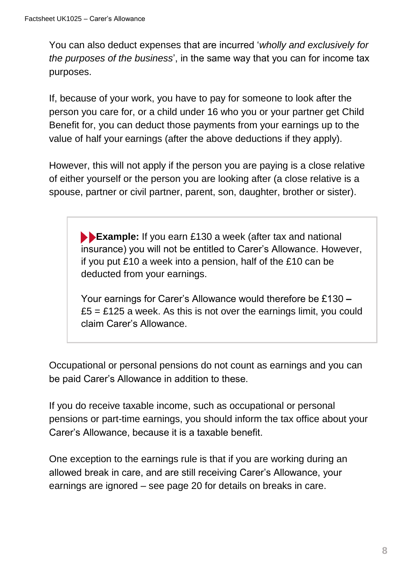You can also deduct expenses that are incurred '*wholly and exclusively for the purposes of the business*', in the same way that you can for income tax purposes.

If, because of your work, you have to pay for someone to look after the person you care for, or a child under 16 who you or your partner get Child Benefit for, you can deduct those payments from your earnings up to the value of half your earnings (after the above deductions if they apply).

However, this will not apply if the person you are paying is a close relative of either yourself or the person you are looking after (a close relative is a spouse, partner or civil partner, parent, son, daughter, brother or sister).

> **Example:** If you earn £130 a week (after tax and national insurance) you will not be entitled to Carer's Allowance. However, if you put £10 a week into a pension, half of the £10 can be deducted from your earnings.

> Your earnings for Carer's Allowance would therefore be £130 **–**  $£5 = £125$  a week. As this is not over the earnings limit, you could claim Carer's Allowance.

Occupational or personal pensions do not count as earnings and you can be paid Carer's Allowance in addition to these.

If you do receive taxable income, such as occupational or personal pensions or part-time earnings, you should inform the tax office about your Carer's Allowance, because it is a taxable benefit.

One exception to the earnings rule is that if you are working during an allowed break in care, and are still receiving Carer's Allowance, your earnings are ignored – see page 20 for details on breaks in care.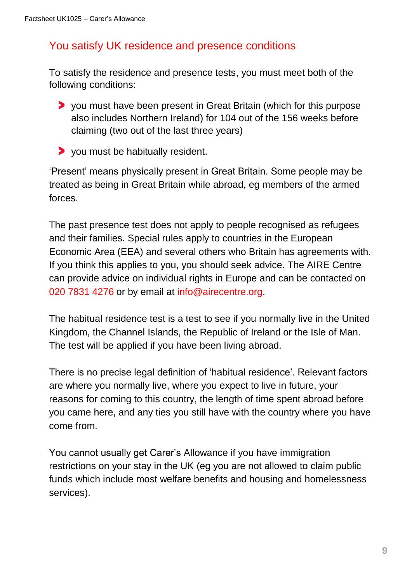# You satisfy UK residence and presence conditions

To satisfy the residence and presence tests, you must meet both of the following conditions:

- you must have been present in Great Britain (which for this purpose also includes Northern Ireland) for 104 out of the 156 weeks before claiming (two out of the last three years)
- you must be habitually resident.

'Present' means physically present in Great Britain. Some people may be treated as being in Great Britain while abroad, eg members of the armed forces.

The past presence test does not apply to people recognised as refugees and their families. Special rules apply to countries in the European Economic Area (EEA) and several others who Britain has agreements with. If you think this applies to you, you should seek advice. The AIRE Centre can provide advice on individual rights in Europe and can be contacted on 020 7831 4276 or by email at [info@airecentre.org.](mailto:info@airecentre.org)

The habitual residence test is a test to see if you normally live in the United Kingdom, the Channel Islands, the Republic of Ireland or the Isle of Man. The test will be applied if you have been living abroad.

There is no precise legal definition of 'habitual residence'. Relevant factors are where you normally live, where you expect to live in future, your reasons for coming to this country, the length of time spent abroad before you came here, and any ties you still have with the country where you have come from.

You cannot usually get Carer's Allowance if you have immigration restrictions on your stay in the UK (eg you are not allowed to claim public funds which include most welfare benefits and housing and homelessness services).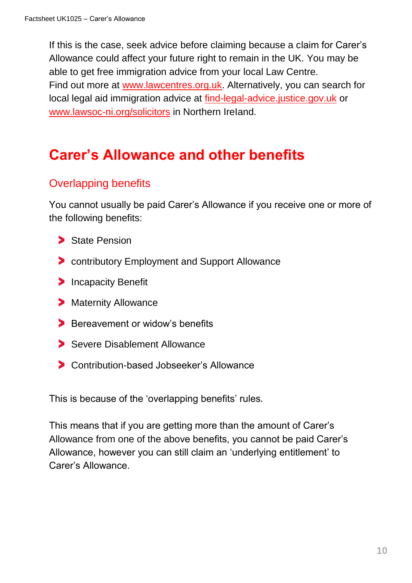If this is the case, seek advice before claiming because a claim for Carer's Allowance could affect your future right to remain in the UK. You may be able to get free immigration advice from your local Law Centre. Find out more at [www.lawcentres.org.uk.](https://www.lawcentres.org.uk/) Alternatively, you can search for local legal aid immigration advice at [find-legal-advice.justice.gov.uk](https://find-legal-advice.justice.gov.uk/) or [www.lawsoc-ni.org/solicitors](https://www.lawsoc-ni.org/solicitors) in Northern Ireland.

# **Carer's Allowance and other benefits**

# Overlapping benefits

You cannot usually be paid Carer's Allowance if you receive one or more of the following benefits:

- State Pension
- **Contributory Employment and Support Allowance**
- **Incapacity Benefit**
- **Maternity Allowance**
- Bereavement or widow's benefits
- Severe Disablement Allowance
- Contribution-based Jobseeker's Allowance

This is because of the 'overlapping benefits' rules.

This means that if you are getting more than the amount of Carer's Allowance from one of the above benefits, you cannot be paid Carer's Allowance, however you can still claim an 'underlying entitlement' to Carer's Allowance.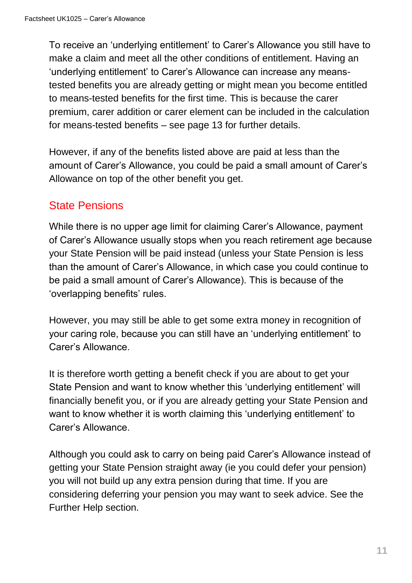To receive an 'underlying entitlement' to Carer's Allowance you still have to make a claim and meet all the other conditions of entitlement. Having an 'underlying entitlement' to Carer's Allowance can increase any meanstested benefits you are already getting or might mean you become entitled to means-tested benefits for the first time. This is because the carer premium, carer addition or carer element can be included in the calculation for means-tested benefits – see page 13 for further details.

However, if any of the benefits listed above are paid at less than the amount of Carer's Allowance, you could be paid a small amount of Carer's Allowance on top of the other benefit you get.

### State Pensions

While there is no upper age limit for claiming Carer's Allowance, payment of Carer's Allowance usually stops when you reach retirement age because your State Pension will be paid instead (unless your State Pension is less than the amount of Carer's Allowance, in which case you could continue to be paid a small amount of Carer's Allowance). This is because of the 'overlapping benefits' rules.

However, you may still be able to get some extra money in recognition of your caring role, because you can still have an 'underlying entitlement' to Carer's Allowance.

It is therefore worth getting a benefit check if you are about to get your State Pension and want to know whether this 'underlying entitlement' will financially benefit you, or if you are already getting your State Pension and want to know whether it is worth claiming this 'underlying entitlement' to Carer's Allowance.

Although you could ask to carry on being paid Carer's Allowance instead of getting your State Pension straight away (ie you could defer your pension) you will not build up any extra pension during that time. If you are considering deferring your pension you may want to seek advice. See the Further Help section.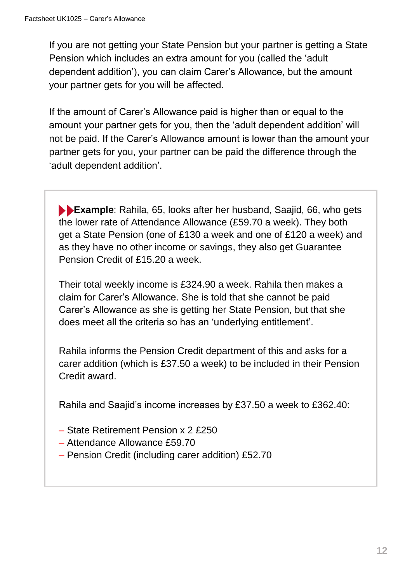If you are not getting your State Pension but your partner is getting a State Pension which includes an extra amount for you (called the 'adult dependent addition'), you can claim Carer's Allowance, but the amount your partner gets for you will be affected.

If the amount of Carer's Allowance paid is higher than or equal to the amount your partner gets for you, then the 'adult dependent addition' will not be paid. If the Carer's Allowance amount is lower than the amount your partner gets for you, your partner can be paid the difference through the 'adult dependent addition'.

**Example**: Rahila, 65, looks after her husband, Saajid, 66, who gets the lower rate of Attendance Allowance (£59.70 a week). They both get a State Pension (one of £130 a week and one of £120 a week) and as they have no other income or savings, they also get Guarantee Pension Credit of £15.20 a week.

Their total weekly income is £324.90 a week. Rahila then makes a claim for Carer's Allowance. She is told that she cannot be paid Carer's Allowance as she is getting her State Pension, but that she does meet all the criteria so has an 'underlying entitlement'.

Rahila informs the Pension Credit department of this and asks for a carer addition (which is £37.50 a week) to be included in their Pension Credit award.

Rahila and Saajid's income increases by £37.50 a week to £362.40:

- State Retirement Pension x 2 £250
- Attendance Allowance £59.70
- Pension Credit (including carer addition) £52.70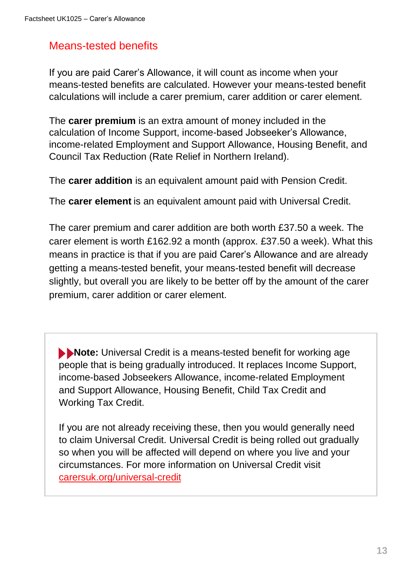## Means-tested benefits

If you are paid Carer's Allowance, it will count as income when your means-tested benefits are calculated. However your means-tested benefit calculations will include a carer premium, carer addition or carer element.

The **carer premium** is an extra amount of money included in the calculation of Income Support, income-based Jobseeker's Allowance, income-related Employment and Support Allowance, Housing Benefit, and Council Tax Reduction (Rate Relief in Northern Ireland).

The **carer addition** is an equivalent amount paid with Pension Credit.

The **carer element** is an equivalent amount paid with Universal Credit.

The carer premium and carer addition are both worth £37.50 a week. The carer element is worth £162.92 a month (approx. £37.50 a week). What this means in practice is that if you are paid Carer's Allowance and are already getting a means-tested benefit, your means-tested benefit will decrease slightly, but overall you are likely to be better off by the amount of the carer premium, carer addition or carer element.

**Note:** Universal Credit is a means-tested benefit for working age people that is being gradually introduced. It replaces Income Support, income-based Jobseekers Allowance, income-related Employment and Support Allowance, Housing Benefit, Child Tax Credit and Working Tax Credit.

If you are not already receiving these, then you would generally need to claim Universal Credit. Universal Credit is being rolled out gradually so when you will be affected will depend on where you live and your circumstances. For more information on Universal Credit visit [carersuk.org/universal-credit](https://www.carersuk.org/help-and-advice/financial-support/help-with-benefits/universal-credit)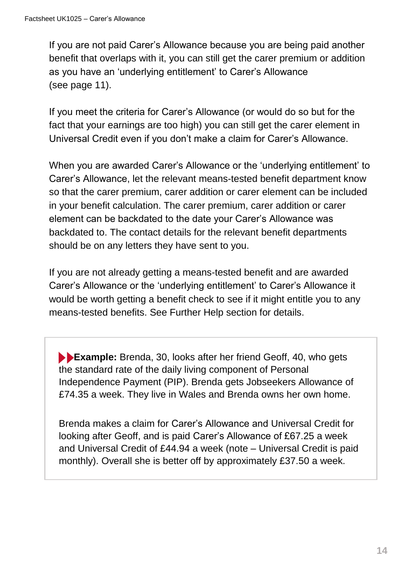If you are not paid Carer's Allowance because you are being paid another benefit that overlaps with it, you can still get the carer premium or addition as you have an 'underlying entitlement' to Carer's Allowance (see page 11).

If you meet the criteria for Carer's Allowance (or would do so but for the fact that your earnings are too high) you can still get the carer element in Universal Credit even if you don't make a claim for Carer's Allowance.

When you are awarded Carer's Allowance or the 'underlying entitlement' to Carer's Allowance, let the relevant means-tested benefit department know so that the carer premium, carer addition or carer element can be included in your benefit calculation. The carer premium, carer addition or carer element can be backdated to the date your Carer's Allowance was backdated to. The contact details for the relevant benefit departments should be on any letters they have sent to you.

If you are not already getting a means-tested benefit and are awarded Carer's Allowance or the 'underlying entitlement' to Carer's Allowance it would be worth getting a benefit check to see if it might entitle you to any means-tested benefits. See Further Help section for details.

**Example:** Brenda, 30, looks after her friend Geoff, 40, who gets the standard rate of the daily living component of Personal Independence Payment (PIP). Brenda gets Jobseekers Allowance of £74.35 a week. They live in Wales and Brenda owns her own home.

Brenda makes a claim for Carer's Allowance and Universal Credit for looking after Geoff, and is paid Carer's Allowance of £67.25 a week and Universal Credit of £44.94 a week (note – Universal Credit is paid monthly). Overall she is better off by approximately £37.50 a week.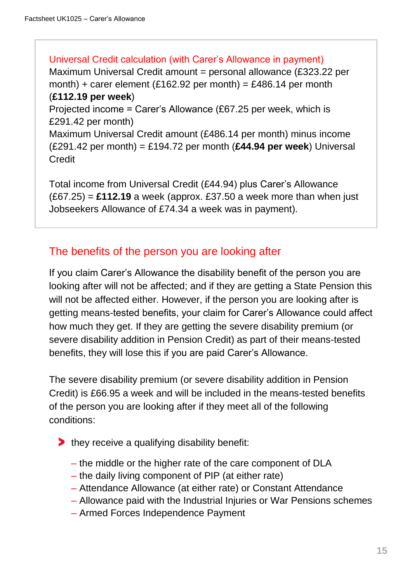Universal Credit calculation (with Carer's Allowance in payment) Maximum Universal Credit amount = personal allowance (£323.22 per month) + carer element (£162.92 per month) = £486.14 per month (**£112.19 per week**) Projected income = Carer's Allowance (£67.25 per week, which is £291.42 per month) Maximum Universal Credit amount (£486.14 per month) minus income (£291.42 per month) = £194.72 per month (**£44.94 per week**) Universal **Credit** 

Total income from Universal Credit (£44.94) plus Carer's Allowance (£67.25) = **£112.19** a week (approx. £37.50 a week more than when just Jobseekers Allowance of £74.34 a week was in payment).

### The benefits of the person you are looking after

If you claim Carer's Allowance the disability benefit of the person you are looking after will not be affected; and if they are getting a State Pension this will not be affected either. However, if the person you are looking after is getting means-tested benefits, your claim for Carer's Allowance could affect how much they get. If they are getting the severe disability premium (or severe disability addition in Pension Credit) as part of their means-tested benefits, they will lose this if you are paid Carer's Allowance.

The severe disability premium (or severe disability addition in Pension Credit) is £66.95 a week and will be included in the means-tested benefits of the person you are looking after if they meet all of the following conditions:

- $\blacktriangleright$  they receive a qualifying disability benefit:
	- the middle or the higher rate of the care component of DLA
	- the daily living component of PIP (at either rate)
	- Attendance Allowance (at either rate) or Constant Attendance
	- Allowance paid with the Industrial Injuries or War Pensions schemes
	- Armed Forces Independence Payment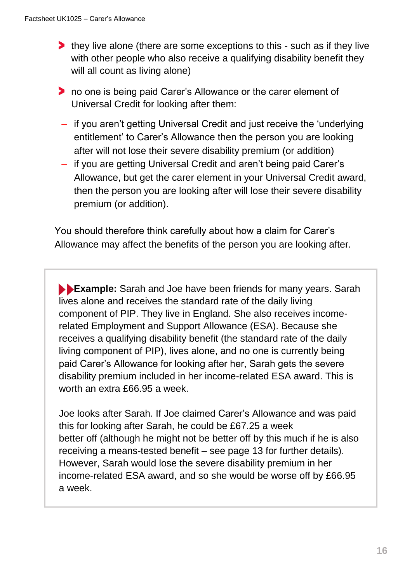- **they live alone (there are some exceptions to this such as if they live** with other people who also receive a qualifying disability benefit they will all count as living alone)
- **the one is being paid Carer's Allowance or the carer element of** Universal Credit for looking after them:
- if you aren't getting Universal Credit and just receive the 'underlying entitlement' to Carer's Allowance then the person you are looking after will not lose their severe disability premium (or addition)
- if you are getting Universal Credit and aren't being paid Carer's Allowance, but get the carer element in your Universal Credit award, then the person you are looking after will lose their severe disability premium (or addition).

 You should therefore think carefully about how a claim for Carer's Allowance may affect the benefits of the person you are looking after.

**Example:** Sarah and Joe have been friends for many years. Sarah lives alone and receives the standard rate of the daily living component of PIP. They live in England. She also receives incomerelated Employment and Support Allowance (ESA). Because she receives a qualifying disability benefit (the standard rate of the daily living component of PIP), lives alone, and no one is currently being paid Carer's Allowance for looking after her, Sarah gets the severe disability premium included in her income-related ESA award. This is worth an extra £66.95 a week.

Joe looks after Sarah. If Joe claimed Carer's Allowance and was paid this for looking after Sarah, he could be £67.25 a week better off (although he might not be better off by this much if he is also receiving a means-tested benefit – see page 13 for further details). However, Sarah would lose the severe disability premium in her income-related ESA award, and so she would be worse off by £66.95 a week.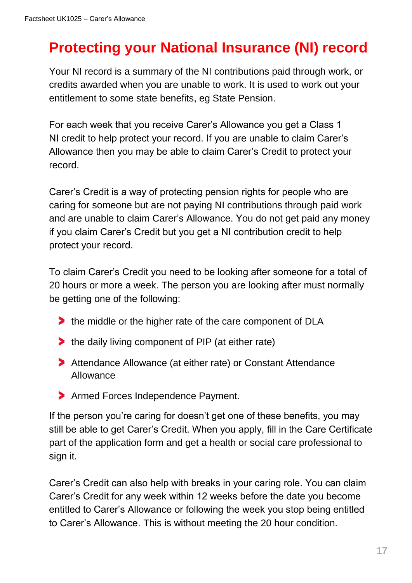# **Protecting your National Insurance (NI) record**

Your NI record is a summary of the NI contributions paid through work, or credits awarded when you are unable to work. It is used to work out your entitlement to some state benefits, eg State Pension.

For each week that you receive Carer's Allowance you get a Class 1 NI credit to help protect your record. If you are unable to claim Carer's Allowance then you may be able to claim Carer's Credit to protect your record.

Carer's Credit is a way of protecting pension rights for people who are caring for someone but are not paying NI contributions through paid work and are unable to claim Carer's Allowance. You do not get paid any money if you claim Carer's Credit but you get a NI contribution credit to help protect your record.

To claim Carer's Credit you need to be looking after someone for a total of 20 hours or more a week. The person you are looking after must normally be getting one of the following:

- the middle or the higher rate of the care component of DLA
- the daily living component of PIP (at either rate)
- Attendance Allowance (at either rate) or Constant Attendance Allowance
- > Armed Forces Independence Payment.

If the person you're caring for doesn't get one of these benefits, you may still be able to get Carer's Credit. When you apply, fill in the Care Certificate part of the application form and get a health or social care professional to sign it.

Carer's Credit can also help with breaks in your caring role. You can claim Carer's Credit for any week within 12 weeks before the date you become entitled to Carer's Allowance or following the week you stop being entitled to Carer's Allowance. This is without meeting the 20 hour condition.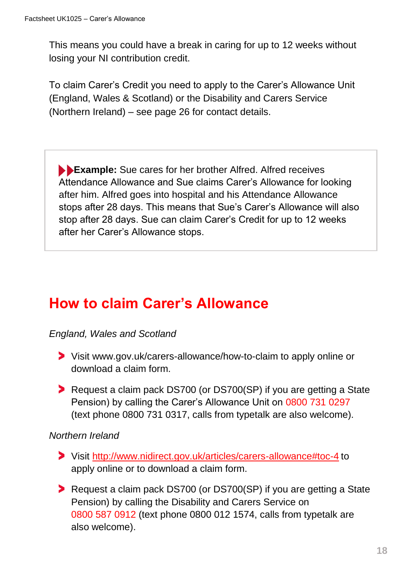This means you could have a break in caring for up to 12 weeks without losing your NI contribution credit.

To claim Carer's Credit you need to apply to the Carer's Allowance Unit (England, Wales & Scotland) or the Disability and Carers Service (Northern Ireland) – see page 26 for contact details.

**Example:** Sue cares for her brother Alfred. Alfred receives Attendance Allowance and Sue claims Carer's Allowance for looking after him. Alfred goes into hospital and his Attendance Allowance stops after 28 days. This means that Sue's Carer's Allowance will also stop after 28 days. Sue can claim Carer's Credit for up to 12 weeks after her Carer's Allowance stops.

# **How to claim Carer's Allowance**

#### *England, Wales and Scotland*

- Visit www.gov.uk/carers-allowance/how-to-claim to apply online or download a claim form.
- Request a claim pack DS700 (or DS700(SP) if you are getting a State Pension) by calling the Carer's Allowance Unit on 0800 731 0297 (text phone 0800 731 0317, calls from typetalk are also welcome).

#### *Northern Ireland*

- Visit<http://www.nidirect.gov.uk/articles/carers-allowance#toc-4> to apply online or to download a claim form.
- Request a claim pack DS700 (or DS700(SP) if you are getting a State Pension) by calling the Disability and Carers Service on 0800 587 0912 (text phone 0800 012 1574, calls from typetalk are also welcome).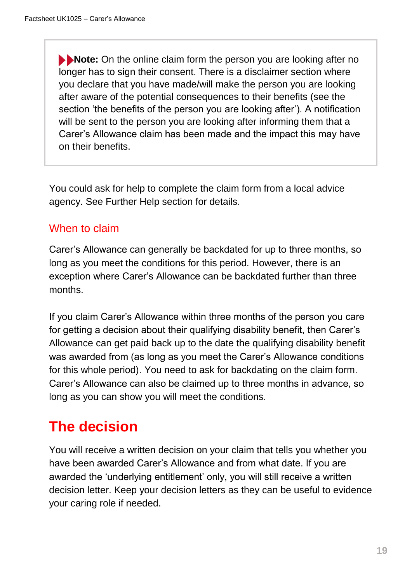**Note:** On the online claim form the person you are looking after no longer has to sign their consent. There is a disclaimer section where you declare that you have made/will make the person you are looking after aware of the potential consequences to their benefits (see the section 'the benefits of the person you are looking after'). A notification will be sent to the person you are looking after informing them that a Carer's Allowance claim has been made and the impact this may have on their benefits.

You could ask for help to complete the claim form from a local advice agency. See Further Help section for details.

# When to claim

Carer's Allowance can generally be backdated for up to three months, so long as you meet the conditions for this period. However, there is an exception where Carer's Allowance can be backdated further than three months.

If you claim Carer's Allowance within three months of the person you care for getting a decision about their qualifying disability benefit, then Carer's Allowance can get paid back up to the date the qualifying disability benefit was awarded from (as long as you meet the Carer's Allowance conditions for this whole period). You need to ask for backdating on the claim form. Carer's Allowance can also be claimed up to three months in advance, so long as you can show you will meet the conditions.

# **The decision**

You will receive a written decision on your claim that tells you whether you have been awarded Carer's Allowance and from what date. If you are awarded the 'underlying entitlement' only, you will still receive a written decision letter. Keep your decision letters as they can be useful to evidence your caring role if needed.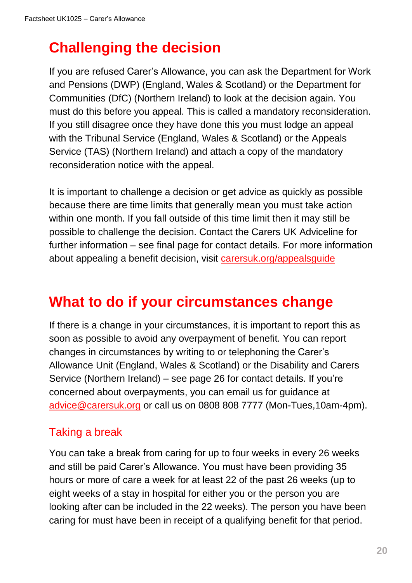# **Challenging the decision**

If you are refused Carer's Allowance, you can ask the Department for Work and Pensions (DWP) (England, Wales & Scotland) or the Department for Communities (DfC) (Northern Ireland) to look at the decision again. You must do this before you appeal. This is called a mandatory reconsideration. If you still disagree once they have done this you must lodge an appeal with the Tribunal Service (England, Wales & Scotland) or the Appeals Service (TAS) (Northern Ireland) and attach a copy of the mandatory reconsideration notice with the appeal.

It is important to challenge a decision or get advice as quickly as possible because there are time limits that generally mean you must take action within one month. If you fall outside of this time limit then it may still be possible to challenge the decision. Contact the Carers UK Adviceline for further information – see final page for contact details. For more information about appealing a benefit decision, visit [carersuk.org/appealsguide](https://www.carersuk.org/help-and-advice/financial-support/help-with-benefits/challenging-a-benefit-decision)

# **What to do if your circumstances change**

If there is a change in your circumstances, it is important to report this as soon as possible to avoid any overpayment of benefit. You can report changes in circumstances by writing to or telephoning the Carer's Allowance Unit (England, Wales & Scotland) or the Disability and Carers Service (Northern Ireland) – see page 26 for contact details. If you're concerned about overpayments, you can email us for guidance at [advice@carersuk.org](mailto:advice@carersuk.org?subject=Overpayment%20concern%20-%20Carer) or call us on 0808 808 7777 (Mon-Tues,10am-4pm).

# Taking a break

You can take a break from caring for up to four weeks in every 26 weeks and still be paid Carer's Allowance. You must have been providing 35 hours or more of care a week for at least 22 of the past 26 weeks (up to eight weeks of a stay in hospital for either you or the person you are looking after can be included in the 22 weeks). The person you have been caring for must have been in receipt of a qualifying benefit for that period.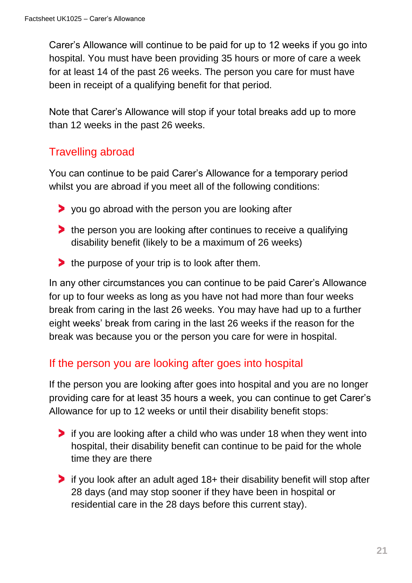Carer's Allowance will continue to be paid for up to 12 weeks if you go into hospital. You must have been providing 35 hours or more of care a week for at least 14 of the past 26 weeks. The person you care for must have been in receipt of a qualifying benefit for that period.

Note that Carer's Allowance will stop if your total breaks add up to more than 12 weeks in the past 26 weeks.

# Travelling abroad

You can continue to be paid Carer's Allowance for a temporary period whilst you are abroad if you meet all of the following conditions:

- $\triangleright$  you go abroad with the person you are looking after
- **the person you are looking after continues to receive a qualifying** disability benefit (likely to be a maximum of 26 weeks)
- $\blacktriangleright$  the purpose of your trip is to look after them.

In any other circumstances you can continue to be paid Carer's Allowance for up to four weeks as long as you have not had more than four weeks break from caring in the last 26 weeks. You may have had up to a further eight weeks' break from caring in the last 26 weeks if the reason for the break was because you or the person you care for were in hospital.

### If the person you are looking after goes into hospital

If the person you are looking after goes into hospital and you are no longer providing care for at least 35 hours a week, you can continue to get Carer's Allowance for up to 12 weeks or until their disability benefit stops:

- if you are looking after a child who was under 18 when they went into hospital, their disability benefit can continue to be paid for the whole time they are there
- if you look after an adult aged 18+ their disability benefit will stop after 28 days (and may stop sooner if they have been in hospital or residential care in the 28 days before this current stay).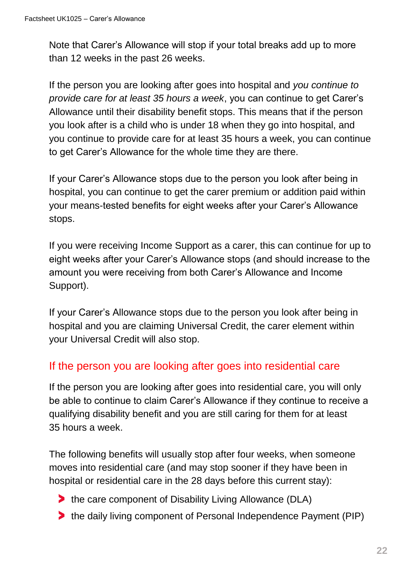Note that Carer's Allowance will stop if your total breaks add up to more than 12 weeks in the past 26 weeks.

If the person you are looking after goes into hospital and *you continue to provide care for at least 35 hours a week*, you can continue to get Carer's Allowance until their disability benefit stops. This means that if the person you look after is a child who is under 18 when they go into hospital, and you continue to provide care for at least 35 hours a week, you can continue to get Carer's Allowance for the whole time they are there.

If your Carer's Allowance stops due to the person you look after being in hospital, you can continue to get the carer premium or addition paid within your means-tested benefits for eight weeks after your Carer's Allowance stops.

If you were receiving Income Support as a carer, this can continue for up to eight weeks after your Carer's Allowance stops (and should increase to the amount you were receiving from both Carer's Allowance and Income Support).

If your Carer's Allowance stops due to the person you look after being in hospital and you are claiming Universal Credit, the carer element within your Universal Credit will also stop.

### If the person you are looking after goes into residential care

If the person you are looking after goes into residential care, you will only be able to continue to claim Carer's Allowance if they continue to receive a qualifying disability benefit and you are still caring for them for at least 35 hours a week.

The following benefits will usually stop after four weeks, when someone moves into residential care (and may stop sooner if they have been in hospital or residential care in the 28 days before this current stay):

- **the care component of Disability Living Allowance (DLA)**
- **the daily living component of Personal Independence Payment (PIP)**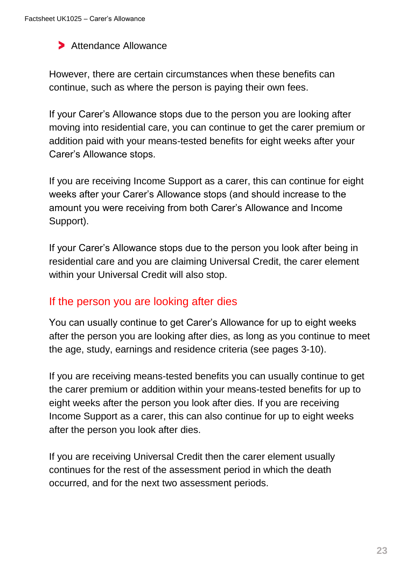#### Attendance Allowance

However, there are certain circumstances when these benefits can continue, such as where the person is paying their own fees.

If your Carer's Allowance stops due to the person you are looking after moving into residential care, you can continue to get the carer premium or addition paid with your means-tested benefits for eight weeks after your Carer's Allowance stops.

If you are receiving Income Support as a carer, this can continue for eight weeks after your Carer's Allowance stops (and should increase to the amount you were receiving from both Carer's Allowance and Income Support).

If your Carer's Allowance stops due to the person you look after being in residential care and you are claiming Universal Credit, the carer element within your Universal Credit will also stop.

#### If the person you are looking after dies

You can usually continue to get Carer's Allowance for up to eight weeks after the person you are looking after dies, as long as you continue to meet the age, study, earnings and residence criteria (see pages 3-10).

If you are receiving means-tested benefits you can usually continue to get the carer premium or addition within your means-tested benefits for up to eight weeks after the person you look after dies. If you are receiving Income Support as a carer, this can also continue for up to eight weeks after the person you look after dies.

If you are receiving Universal Credit then the carer element usually continues for the rest of the assessment period in which the death occurred, and for the next two assessment periods.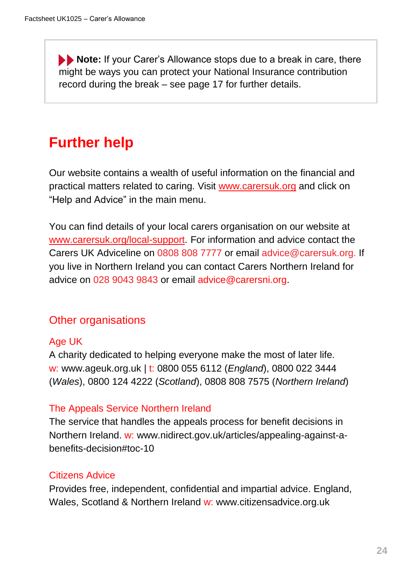**Note:** If your Carer's Allowance stops due to a break in care, there might be ways you can protect your National Insurance contribution record during the break – see page 17 for further details.

# **Further help**

Our website contains a wealth of useful information on the financial and practical matters related to caring. Visit [www.carersuk.org](https://www.carersuk.org/) and click on "Help and Advice" in the main menu.

You can find details of your local carers organisation on our website at [www.carersuk.org/local-support.](http://www.carersuk.org/local-support) For information and advice contact the Carers UK Adviceline on 0808 808 7777 or email advice@carersuk.org. If you live in Northern Ireland you can contact Carers Northern Ireland for advice on 028 9043 9843 or email advice@carersni.org.

### Other organisations

#### Age UK

A charity dedicated to helping everyone make the most of later life. w: www.ageuk.org.uk | t: 0800 055 6112 (*England*), 0800 022 3444 (*Wales*), 0800 124 4222 (*Scotland*), 0808 808 7575 (*Northern Ireland*)

#### The Appeals Service Northern Ireland

The service that handles the appeals process for benefit decisions in Northern Ireland. w: www.nidirect.gov.uk/articles/appealing-against-abenefits-decision#toc-10

#### Citizens Advice

Provides free, independent, confidential and impartial advice. England, Wales, Scotland & Northern Ireland w: www.citizensadvice.org.uk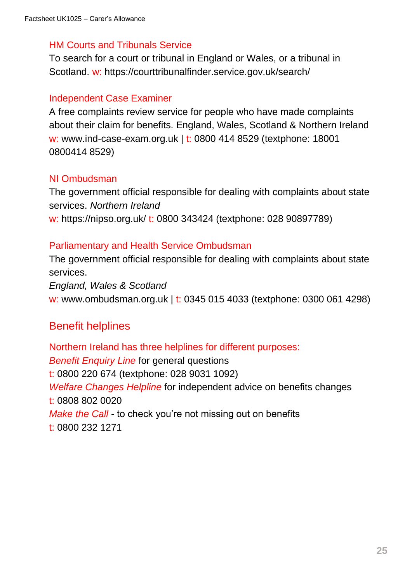#### HM Courts and Tribunals Service

To search for a court or tribunal in England or Wales, or a tribunal in Scotland. w: https://courttribunalfinder.service.gov.uk/search/

#### Independent Case Examiner

A free complaints review service for people who have made complaints about their claim for benefits. England, Wales, Scotland & Northern Ireland w: www.ind-case-exam.org.uk | t: 0800 414 8529 (textphone: 18001 0800414 8529)

#### NI Ombudsman

The government official responsible for dealing with complaints about state services. *Northern Ireland* w: https://nipso.org.uk/ t: 0800 343424 (textphone: 028 90897789)

#### Parliamentary and Health Service Ombudsman

The government official responsible for dealing with complaints about state services.

*England, Wales & Scotland* w: www.ombudsman.org.uk | t: 0345 015 4033 (textphone: 0300 061 4298)

#### Benefit helplines

Northern Ireland has three helplines for different purposes: *Benefit Enquiry Line* for general questions t: 0800 220 674 (textphone: 028 9031 1092) *Welfare Changes Helpline* for independent advice on benefits changes t: 0808 802 0020 *Make the Call* - to check you're not missing out on benefits t: 0800 232 1271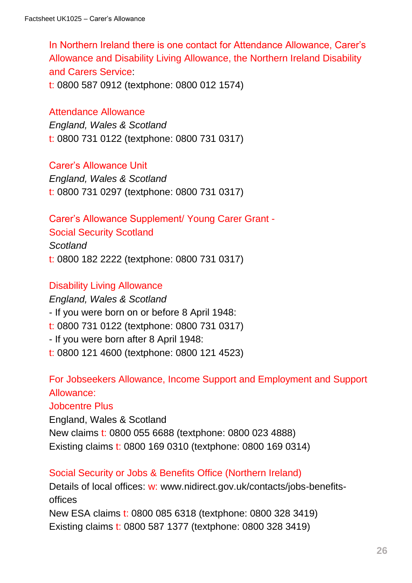In Northern Ireland there is one contact for Attendance Allowance, Carer's Allowance and Disability Living Allowance, the Northern Ireland Disability and Carers Service:

t: 0800 587 0912 (textphone: 0800 012 1574)

#### Attendance Allowance

*England, Wales & Scotland* t: 0800 731 0122 (textphone: 0800 731 0317)

Carer's Allowance Unit

*England, Wales & Scotland* t: 0800 731 0297 (textphone: 0800 731 0317)

Carer's Allowance Supplement/ Young Carer Grant -

Social Security Scotland

*Scotland*

t: 0800 182 2222 (textphone: 0800 731 0317)

#### Disability Living Allowance

*England, Wales & Scotland* - If you were born on or before 8 April 1948: t: 0800 731 0122 (textphone: 0800 731 0317) - If you were born after 8 April 1948: t: 0800 121 4600 (textphone: 0800 121 4523)

For Jobseekers Allowance, Income Support and Employment and Support Allowance:

Jobcentre Plus England, Wales & Scotland New claims t: 0800 055 6688 (textphone: 0800 023 4888) Existing claims t: 0800 169 0310 (textphone: 0800 169 0314)

Social Security or Jobs & Benefits Office (Northern Ireland) Details of local offices: w: [www.nidirect.gov.uk/contacts/jobs-benefits](http://www.nidirect.gov.uk/contacts/jobs-benefits-offices)[offices](http://www.nidirect.gov.uk/contacts/jobs-benefits-offices) New ESA claims t: 0800 085 6318 (textphone: 0800 328 3419) Existing claims t: 0800 587 1377 (textphone: 0800 328 3419)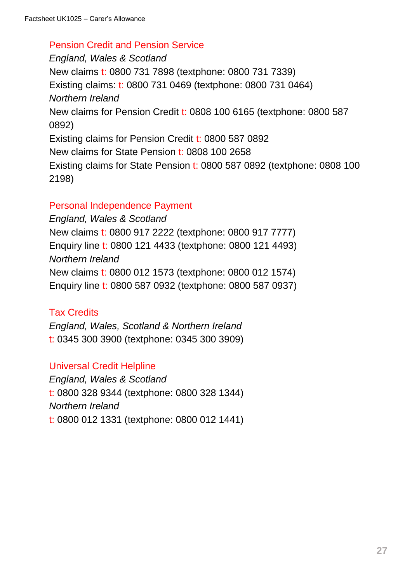#### Pension Credit and Pension Service

*England, Wales & Scotland* New claims t: 0800 731 7898 (textphone: 0800 731 7339) Existing claims: t: 0800 731 0469 (textphone: 0800 731 0464) *Northern Ireland* New claims for Pension Credit t: 0808 100 6165 (textphone: 0800 587 0892) Existing claims for Pension Credit t: 0800 587 0892 New claims for State Pension t: 0808 100 2658 Existing claims for State Pension t: 0800 587 0892 (textphone: 0808 100 2198)

#### Personal Independence Payment

*England, Wales & Scotland* New claims t: 0800 917 2222 (textphone: 0800 917 7777) Enquiry line t: 0800 121 4433 (textphone: 0800 121 4493) *Northern Ireland* New claims t: 0800 012 1573 (textphone: 0800 012 1574) Enquiry line t: 0800 587 0932 (textphone: 0800 587 0937)

#### Tax Credits

*England, Wales, Scotland & Northern Ireland* t: 0345 300 3900 (textphone: 0345 300 3909)

#### Universal Credit Helpline

*England, Wales & Scotland* t: 0800 328 9344 (textphone: 0800 328 1344) *Northern Ireland* t: 0800 012 1331 (textphone: 0800 012 1441)